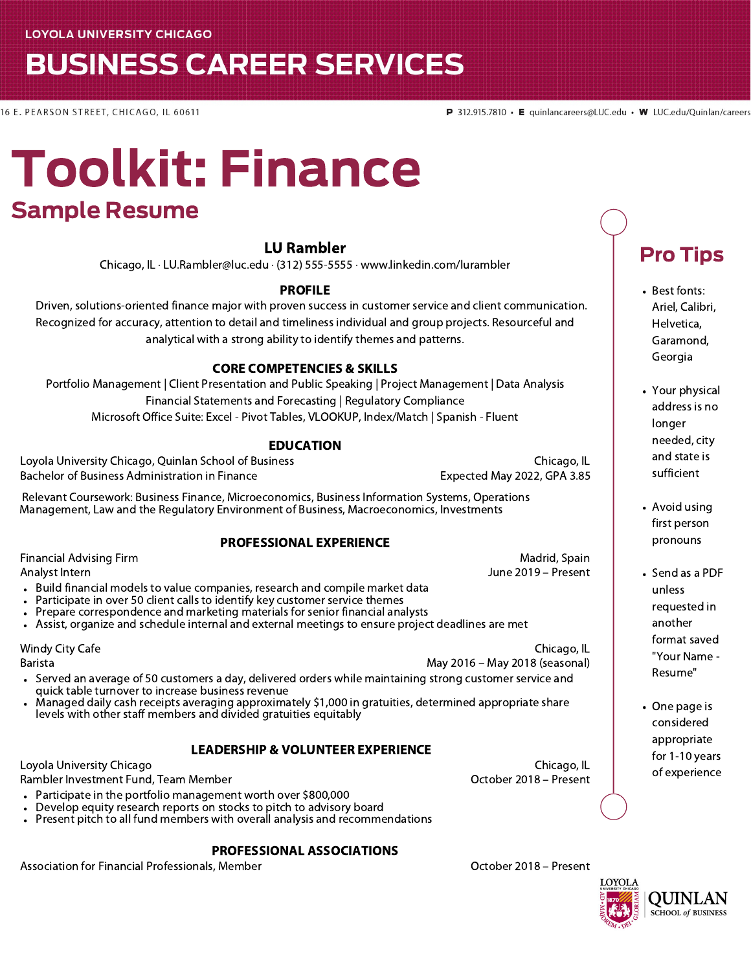# **BUSINESS CAREER SERVICES**

16 E. PEARSON STREET, CHICAGO, IL 60611

# Toolkit: Finance Sample Resume

#### LU Rambler

Chicago, IL · LU.Rambler@luc.edu · (312) 555-5555 · www.linkedin.com/lurambler

#### PROFILE

Driven, solutions-oriented finance major with proven success in customer service and client communication. Recognized for accuracy, attention to detail and timeliness individual and group projects. Resourceful and analytical with a strong ability to identify themes and patterns.

#### CORE COMPETENCIES & SKILLS

Portfolio Management | Client Presentation and Public Speaking | Project Management | Data Analysis Financial Statements and Forecasting | Regulatory Compliance Microsoft Office Suite: Excel - Pivot Tables, VLOOKUP, Index/Match | Spanish - Fluent

#### EDUCATION

Loyola University Chicago, Quinlan School of Business Chicago, IL Bachelor of Business Administration in Finance **Expected May 2022, GPA 3.85** Expected May 2022, GPA 3.85 Relevant Coursework: Business Finance, Microeconomics, Business Information Systems, Operations Management, Law and the Regulatory Environment of Business, Macroeconomics, Investments PROFESSIONAL EXPERIENCE Financial Advising Firm Analyst Intern Madrid, Spain June 2019 – Present Build financial models to value companies, research and compile market data Participate in over 50 client calls to identify key customer service themes Prepare correspondence and marketing materials for senior financial analysts

Assist, organize and schedule internal and external meetings to ensure project deadlines are met

Windy City Cafe

Barista

- May 2016 May 2018 (seasonal) Served an average of 50 customers a day, delivered orders while maintaining strong customer service and quick table turnover to increase business revenue
- Managed daily cash receipts averaging approximately \$1,000 in gratuities, determined appropriate share levels with other staff members and divided gratuities equitably

#### LEADERSHIP & VOLUNTEER EXPERIENCE

Loyola University Chicago

Rambler Investment Fund, Team Member

- Participate in the portfolio management worth over \$800,000
- Develop equity research reports on stocks to pitch to advisory board
- Present pitch to all fund members with overall analysis and recommendations

#### PROFESSIONAL ASSOCIATIONS

Association for Financial Professionals, Member **Community Contract Contract Contract Contract** Control October 2018 – Present

October 2018 – Present

Chicago, IL

Chicago, IL

## Pro Tips

- Best fonts: Ariel, Calibri, Helvetica, Garamond, Georgia
- Your physical address is no longer needed, city and state is sufficient
- Avoid using first person pronouns
- Send as a PDF unless requested in another format saved "Your Name - Resume"
- One page is considered appropriate for 1-10 years of experience